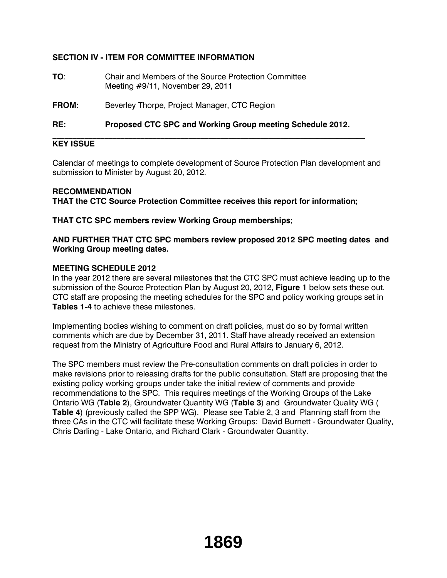# **SECTION IV - ITEM FOR COMMITTEE INFORMATION**

**TO**: Chair and Members of the Source Protection Committee Meeting #9/11, November 29, 2011

**FROM:** Beverley Thorpe, Project Manager, CTC Region

**RE: Proposed CTC SPC and Working Group meeting Schedule 2012.**

\_\_\_\_\_\_\_\_\_\_\_\_\_\_\_\_\_\_\_\_\_\_\_\_\_\_\_\_\_\_\_\_\_\_\_\_\_\_\_\_\_\_\_\_\_\_\_\_\_\_\_\_\_\_\_\_\_\_\_\_\_\_\_\_\_\_\_\_\_\_\_\_\_\_\_\_\_\_

## **KEY ISSUE**

Calendar of meetings to complete development of Source Protection Plan development and submission to Minister by August 20, 2012.

#### **RECOMMENDATION**

**THAT the CTC Source Protection Committee receives this report for information;**

**THAT CTC SPC members review Working Group memberships;**

**AND FURTHER THAT CTC SPC members review proposed 2012 SPC meeting dates and Working Group meeting dates.**

### **MEETING SCHEDULE 2012**

In the year 2012 there are several milestones that the CTC SPC must achieve leading up to the submission of the Source Protection Plan by August 20, 2012, **Figure 1** below sets these out. CTC staff are proposing the meeting schedules for the SPC and policy working groups set in **Tables 1-4** to achieve these milestones.

Implementing bodies wishing to comment on draft policies, must do so by formal written comments which are due by December 31, 2011. Staff have already received an extension request from the Ministry of Agriculture Food and Rural Affairs to January 6, 2012.

The SPC members must review the Pre-consultation comments on draft policies in order to make revisions prior to releasing drafts for the public consultation. Staff are proposing that the existing policy working groups under take the initial review of comments and provide recommendations to the SPC. This requires meetings of the Working Groups of the Lake Ontario WG (**Table 2**), Groundwater Quantity WG (**Table 3**) and Groundwater Quality WG ( **Table 4**) (previously called the SPP WG). Please see Table 2, 3 and Planning staff from the three CAs in the CTC will facilitate these Working Groups: David Burnett - Groundwater Quality, Chris Darling - Lake Ontario, and Richard Clark - Groundwater Quantity.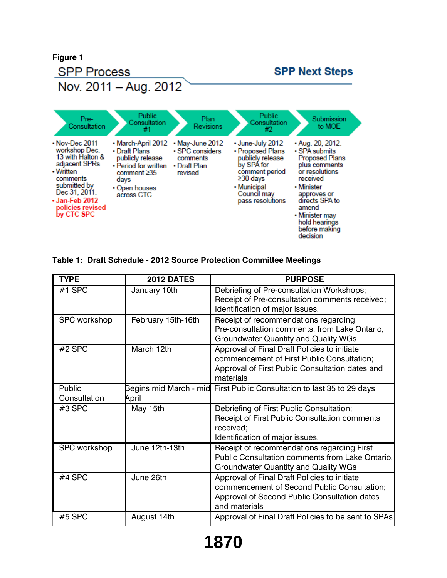

### **Table 1: Draft Schedule - 2012 Source Protection Committee Meetings**

| <b>TYPE</b>            | <b>2012 DATES</b>  | <b>PURPOSE</b>                                                                                                                                               |
|------------------------|--------------------|--------------------------------------------------------------------------------------------------------------------------------------------------------------|
| #1 SPC                 | January 10th       | Debriefing of Pre-consultation Workshops;<br>Receipt of Pre-consultation comments received;<br>Identification of major issues.                               |
| <b>SPC</b> workshop    | February 15th-16th | Receipt of recommendations regarding<br>Pre-consultation comments, from Lake Ontario,<br><b>Groundwater Quantity and Quality WGs</b>                         |
| #2 SPC                 | March 12th         | Approval of Final Draft Policies to initiate<br>commencement of First Public Consultation;<br>Approval of First Public Consultation dates and<br>materials   |
| Public<br>Consultation | April              | Begins mid March - mid First Public Consultation to last 35 to 29 days                                                                                       |
| #3 SPC                 | May 15th           | Debriefing of First Public Consultation;<br>Receipt of First Public Consultation comments<br>received;<br>Identification of major issues.                    |
| <b>SPC</b> workshop    | June 12th-13th     | Receipt of recommendations regarding First<br>Public Consultation comments from Lake Ontario,<br><b>Groundwater Quantity and Quality WGs</b>                 |
| #4 SPC                 | June 26th          | Approval of Final Draft Policies to initiate<br>commencement of Second Public Consultation;<br>Approval of Second Public Consultation dates<br>and materials |
| $#5$ SPC               | August 14th        | Approval of Final Draft Policies to be sent to SPAs                                                                                                          |

**1870**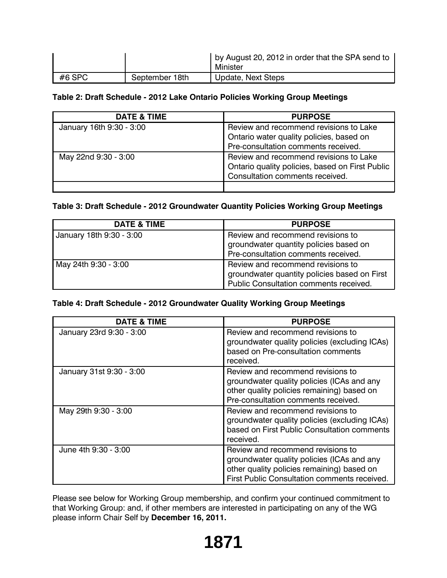|          |                | by August 20, 2012 in order that the SPA send to<br>Minister |
|----------|----------------|--------------------------------------------------------------|
| $#6$ SPC | September 18th | Update, Next Steps                                           |

# **Table 2: Draft Schedule - 2012 Lake Ontario Policies Working Group Meetings**

| DATE & TIME              | <b>PURPOSE</b>                                                                                                               |
|--------------------------|------------------------------------------------------------------------------------------------------------------------------|
| January 16th 9:30 - 3:00 | Review and recommend revisions to Lake<br>Ontario water quality policies, based on<br>Pre-consultation comments received.    |
| May 22nd 9:30 - 3:00     | Review and recommend revisions to Lake<br>Ontario quality policies, based on First Public<br>Consultation comments received. |
|                          |                                                                                                                              |

# **Table 3: Draft Schedule - 2012 Groundwater Quantity Policies Working Group Meetings**

| <b>DATE &amp; TIME</b>   | <b>PURPOSE</b>                               |
|--------------------------|----------------------------------------------|
| January 18th 9:30 - 3:00 | Review and recommend revisions to            |
|                          | groundwater quantity policies based on       |
|                          | Pre-consultation comments received.          |
| May 24th 9:30 - 3:00     | Review and recommend revisions to            |
|                          | groundwater quantity policies based on First |
|                          | Public Consultation comments received.       |

### **Table 4: Draft Schedule - 2012 Groundwater Quality Working Group Meetings**

| <b>DATE &amp; TIME</b>   | <b>PURPOSE</b>                                                                                                                                                                |
|--------------------------|-------------------------------------------------------------------------------------------------------------------------------------------------------------------------------|
| January 23rd 9:30 - 3:00 | Review and recommend revisions to<br>groundwater quality policies (excluding ICAs)<br>based on Pre-consultation comments<br>received.                                         |
| January 31st 9:30 - 3:00 | Review and recommend revisions to<br>groundwater quality policies (ICAs and any<br>other quality policies remaining) based on<br>Pre-consultation comments received.          |
| May 29th 9:30 - 3:00     | Review and recommend revisions to<br>groundwater quality policies (excluding ICAs)<br>based on First Public Consultation comments<br>received.                                |
| June 4th 9:30 - 3:00     | Review and recommend revisions to<br>groundwater quality policies (ICAs and any<br>other quality policies remaining) based on<br>First Public Consultation comments received. |

Please see below for Working Group membership, and confirm your continued commitment to that Working Group: and, if other members are interested in participating on any of the WG please inform Chair Self by **December 16, 2011.**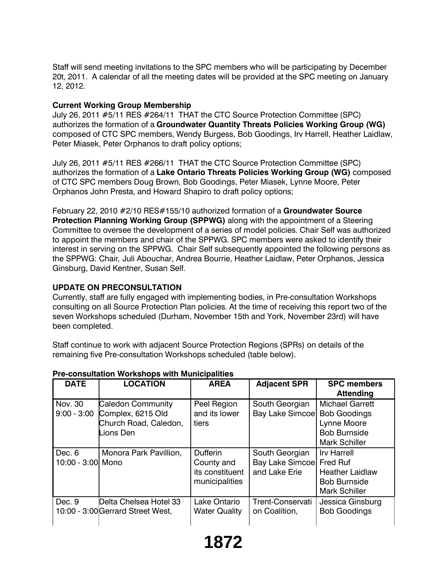Staff will send meeting invitations to the SPC members who will be participating by December 20t, 2011. A calendar of all the meeting dates will be provided at the SPC meeting on January 12, 2012.

## **Current Working Group Membership**

July 26, 2011 #5/11 RES #264/11 THAT the CTC Source Protection Committee (SPC) authorizes the formation of a **Groundwater Quantity Threats Policies Working Group (WG)** composed of CTC SPC members, Wendy Burgess, Bob Goodings, Irv Harrell, Heather Laidlaw, Peter Miasek, Peter Orphanos to draft policy options;

July 26, 2011 #5/11 RES #266/11 THAT the CTC Source Protection Committee (SPC) authorizes the formation of a **Lake Ontario Threats Policies Working Group (WG)** composed of CTC SPC members Doug Brown, Bob Goodings, Peter Miasek, Lynne Moore, Peter Orphanos John Presta, and Howard Shapiro to draft policy options;

February 22, 2010 #2/10 RES#155/10 authorized formation of a **Groundwater Source Protection Planning Working Group (SPPWG)** along with the appointment of a Steering Committee to oversee the development of a series of model policies. Chair Self was authorized to appoint the members and chair of the SPPWG. SPC members were asked to identify their interest in serving on the SPPWG. Chair Self subsequently appointed the following persons as the SPPWG: Chair*,* Juli Abouchar, Andrea Bourrie, Heather Laidlaw, Peter Orphanos, Jessica Ginsburg, David Kentner, Susan Self.

### **UPDATE ON PRECONSULTATION**

Currently, staff are fully engaged with implementing bodies, in Pre-consultation Workshops consulting on all Source Protection Plan policies. At the time of receiving this report two of the seven Workshops scheduled (Durham, November 15th and York, November 23rd) will have been completed.

Staff continue to work with adjacent Source Protection Regions (SPRs) on details of the remaining five Pre-consultation Workshops scheduled (table below).

| <b>DATE</b>                 | <b>LOCATION</b>                                                              | <b>AREA</b>                                                        | <b>Adjacent SPR</b>                                | <b>SPC members</b><br><b>Attending</b>                                                                         |
|-----------------------------|------------------------------------------------------------------------------|--------------------------------------------------------------------|----------------------------------------------------|----------------------------------------------------------------------------------------------------------------|
| Nov. 30<br>$9:00 - 3:00$    | Caledon Community<br>Complex, 6215 Old<br>Church Road, Caledon,<br>Lions Den | Peel Region<br>and its lower<br>tiers                              | South Georgian<br>Bay Lake Simcoe                  | <b>Michael Garrett</b><br><b>Bob Goodings</b><br>Lynne Moore<br><b>Bob Burnside</b><br><b>Mark Schiller</b>    |
| Dec. 6<br>10:00 - 3:00 Mono | Monora Park Pavillion,                                                       | <b>Dufferin</b><br>County and<br>its constituent<br>municipalities | South Georgian<br>Bay Lake Simcoe<br>and Lake Erie | <b>Irv Harrell</b><br><b>Fred Ruf</b><br><b>Heather Laidlaw</b><br><b>Bob Burnside</b><br><b>Mark Schiller</b> |
| Dec. 9                      | <b>IDelta Chelsea Hotel 33</b><br>10:00 - 3:00 Gerrard Street West,          | Lake Ontario<br><b>Water Quality</b>                               | Trent-Conservati<br>on Coalition.                  | Jessica Ginsburg<br><b>Bob Goodings</b>                                                                        |

### **Pre-consultation Workshops with Municipalities**